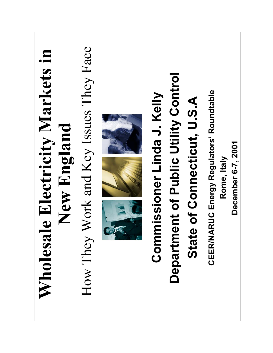| How They Work and Key Issues They Face<br>Wholesale Electricity Markets in<br>New England |  | nent of Public Utility Control<br>Commissioner Linda J. Kelly<br>State of Connecticut, U.S.A<br>Departn | <b>CEER/NARUC Energy Regulators' Roundtable</b><br>December 6-7, 2001<br>Rome, Italy |
|-------------------------------------------------------------------------------------------|--|---------------------------------------------------------------------------------------------------------|--------------------------------------------------------------------------------------|
|-------------------------------------------------------------------------------------------|--|---------------------------------------------------------------------------------------------------------|--------------------------------------------------------------------------------------|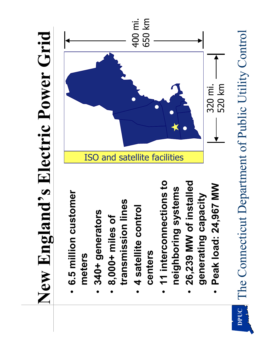## New England's Electric Power Grid **New Englandís Electric Power Grid**

- **6.5 million customer**  6.5 million customer **meters** ï
- 340+ generators **340+ generators** ï
- transmission lines **transmission lines** 8,000+ miles of **8,000+ miles of** ï
	- · 4 satellite control **4 satellite control centers**
- **11 interconnections to**  11 interconnections to neighboring systems **neighboring systems** ï
- **26,239 MW of installed**  26,239 MW of installed generating capacity **generating capacity** ï
	- Peak load: 24,967 MW **Peak load: 24,967 MW** ï



The Connecticut Department of Public Utility Control The Connecticut Department of Public Utility Control **DPUC**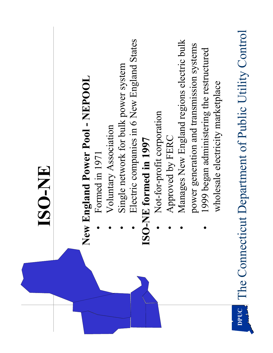|      | ISO-NE                                                                                                                              |
|------|-------------------------------------------------------------------------------------------------------------------------------------|
|      | <b>England Power Pool - NEPOOL</b><br>New                                                                                           |
|      | Single network for bulk power system<br>Voluntary Association<br>Formed in 1971                                                     |
|      | Electric companies in 6 New England States<br>ISO-NE formed in 1997                                                                 |
|      | Not-for-profit corporation<br>Approved by FERC                                                                                      |
|      | Manages New England regions electric bulk<br>power generation and transmission systems<br>1999 began administering the restructured |
| DPUC | The Connecticut Department of Public Utility Control<br>wholesale electricity marketplace                                           |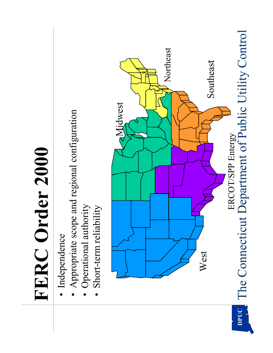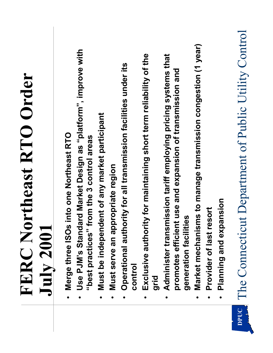|      | <b>FERC Northeast RTO Order</b>                                                                                           |
|------|---------------------------------------------------------------------------------------------------------------------------|
|      | <b>July 200</b>                                                                                                           |
|      | s into one Northeast RTO<br>Merge three ISO<br>$\bullet$                                                                  |
|      | Use PJM's Standard Market Design as "platform", improve with<br>"best practices" from the 3 control areas                 |
|      | ndent of any market participant<br>Must be indeper<br>$\bullet$                                                           |
|      | Must serve an appropriate region                                                                                          |
|      | Operational authority for all transmission facilities under its<br><b>CONtrol</b>                                         |
|      | rity for maintaining short term reliability of the<br>Exclusive autho<br>grid                                             |
|      | Administer transmission tariff employing pricing systems that<br>promotes efficient use and expansion of transmission and |
|      | generation facilities                                                                                                     |
|      | isms to manage transmission congestion (1 year)<br>Market mechani<br>$\bullet$                                            |
|      | resort<br>Provider of last                                                                                                |
|      | Planning and expansion                                                                                                    |
| DPUC | The Connecticut Department of Public Utility Control                                                                      |

 $\begin{array}{c} \hline \end{array}$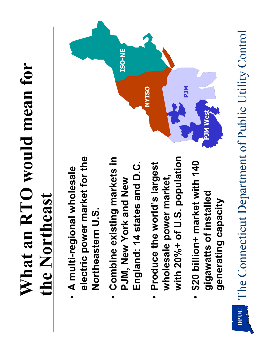## **What an RTO would mean for**  What an RTO would mean for the Northeast **the Northeast**

- **electric power market for the**  electric power market for the **A multi-regional wholesale A** multi-regional wholesale Northeastern U.S. **Northeastern U.S.**
- **Combine existing markets in**  • Combine existing markets in England: 14 states and D.C. **England: 14 states and D.C. PJM, New York and New**  PJM, New York and New
- with 20%+ of U.S. population **with 20%+ of U.S. population Produce the worldís largest**  Produce the world's largest **wholesale power market,**  wholesale power market, ï
- **\$20 billion+ market with 140**  • \$20 billion+ market with 140 **gigawatts of installed**  gigawatts of installed generating capacity **generating capacity**



The Connecticut Department of Public Utility Control The Connecticut Department of Public Utility Control **DPUC**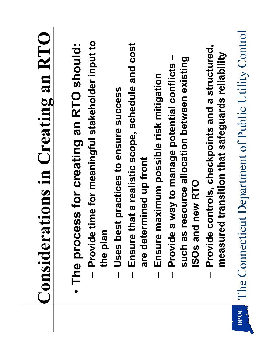|      | <b>Considerations in Creating an RTO</b>                                                               |
|------|--------------------------------------------------------------------------------------------------------|
|      | Provide time for meaningful stakeholder input to<br>· The process for creating an RTO should:          |
|      | the plan                                                                                               |
|      | Uses best practices to ensure success                                                                  |
|      | Ensure that a realistic scope, schedule and cost<br>are determined up front                            |
|      | Ensure maximum possible risk mitigation                                                                |
|      | Provide a way to manage potential conflicts -                                                          |
|      | esource allocation between existing<br>new RTO<br>such as r<br><b>ISOs and</b>                         |
|      | Provide controls, checkpoints and a structured,<br>d transition that safeguards reliability<br>measure |
| DPUC | The Connecticut Department of Public Utility Control                                                   |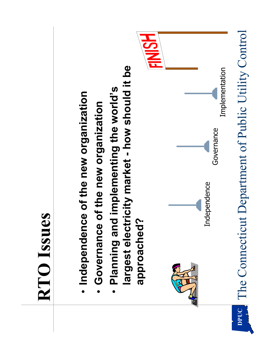

- · Independence of the new organization **Independence of the new organization**
- Governance of the new organization **Governance of the new organization** ï
- **largest electricity market - how should it be**  largest electricity market - how should it be **• Planning and implementing the world's** · Planning and implementing the world's approached? **approached?**

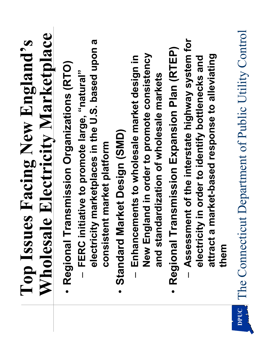|      | <b>Top Issues Facing New England's</b>                                                                               |
|------|----------------------------------------------------------------------------------------------------------------------|
|      | <b>Wholesale Electricity Marketplace</b>                                                                             |
|      | Regional Transmission Organizations (RTO)                                                                            |
|      | electricity marketplaces in the U.S. based upon a<br>tiative to promote large, "natural"<br>- FERC init              |
|      | consistent market platform                                                                                           |
|      | <b>Standard Market Design (SMD)</b>                                                                                  |
|      | land in order to promote consistency<br>ments to wholesale market design in<br>New Engi<br>Enhance<br>$\overline{1}$ |
|      | and standardization of wholesale markets                                                                             |
|      | Regional Transmission Expansion Plan (RTEP)<br>$\bullet$                                                             |
|      | Assessment of the interstate highway system for                                                                      |
|      | electricity in order to identify bottlenecks and                                                                     |
|      | market-based response to alleviating<br>attract a<br>them                                                            |
| DPUC | The Connecticut Department of Public Utility Control                                                                 |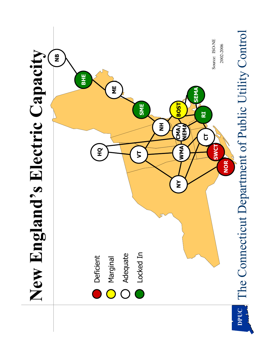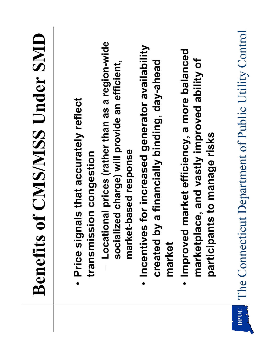|      | <b>Benefits of CMS/MSS Under SMD</b>                                                                                                       |
|------|--------------------------------------------------------------------------------------------------------------------------------------------|
|      | als that accurately reflect<br>ion congestion<br>Price sign<br>transmiss                                                                   |
|      | Locational prices (rather than as a region-wide<br>socialized charge) will provide an efficient,<br>market-based response                  |
|      | for increased generator availability<br>a financially binding, day-ahead<br>Incentives<br>created by<br>market<br>$\bullet$                |
|      | market efficiency, a more balanced<br>marketplace, and vastly improved ability of<br>participants to manage risks<br>Improved<br>$\bullet$ |
| DPUC | The Connecticut Department of Public Utility Control                                                                                       |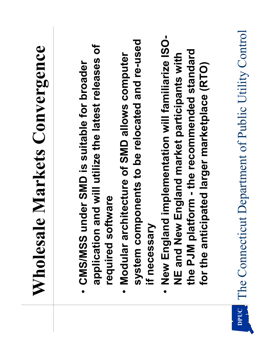| e Markets Convergence<br>Wholesal                                                                            |
|--------------------------------------------------------------------------------------------------------------|
| nder SMD is suitable for broader<br>CMS/MSS u<br>$\bullet$                                                   |
| $\overline{\sigma}$<br>and will utilize the latest releases<br>ftware<br>required so<br>application          |
| system components to be relocated and re-used<br>Modular architecture of SMD allows computer<br>$\bullet$    |
| if necessary                                                                                                 |
| New England implementation will familiarize ISO-<br>NE and New England market participants with<br>$\bullet$ |
| the PJM platform - the recommended standard<br>for the anticipated larger marketplace (RTO)                  |
|                                                                                                              |
| The Connecticut Department of Public Utility Control                                                         |

 $\overline{\mathbf{D}}$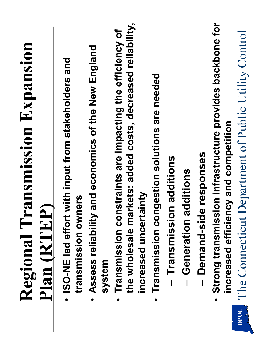|      | Regional Transmission Expansion<br>$\hat{\mathbf{a}}$<br>Plan (RTE)                                                                             |
|------|-------------------------------------------------------------------------------------------------------------------------------------------------|
|      | - ISO-NE led effort with input from stakeholders and<br>transmission owners                                                                     |
|      | Assess reliability and economics of the New England<br>system<br>$\bullet$                                                                      |
|      | the wholesale markets: added costs, decreased reliability,<br>Transmission constraints are impacting the efficiency of<br>increased uncertainty |
|      | Transmission congestion solutions are needed<br>Transmission additions<br>$\bullet$                                                             |
|      | Generation additions<br>$\overline{1}$                                                                                                          |
|      | Demand-side responses                                                                                                                           |
|      | Strong transmission infrastructure provides backbone for<br>increased efficiency and competition<br>$\bullet$                                   |
| DPUC | The Connecticut Department of Public Utility Control                                                                                            |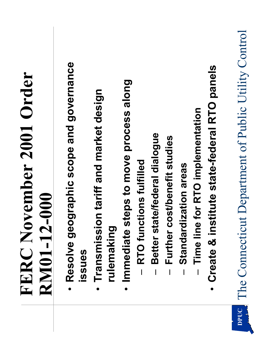|      | FERC November 2001 Order                                   |
|------|------------------------------------------------------------|
|      | <b>RN01-12-000</b>                                         |
|      | · Resolve geographic scope and governance<br><b>ISSUES</b> |
|      | Transmission tariff and market design<br>rulemaking        |
|      | Immediate steps to move process along<br>$\bullet$         |
|      | Better state/federal dialogue<br>RTO functions fulfilled   |
|      | cost/benefit studies<br>Further<br>$\overline{\mathbf{I}}$ |
|      | Standardization areas                                      |
|      | e for RTO implementation<br>Time lin                       |
|      | Create & institute state-federal RTO panels                |
| DPUC | The Connecticut Department of Public Utility Control       |